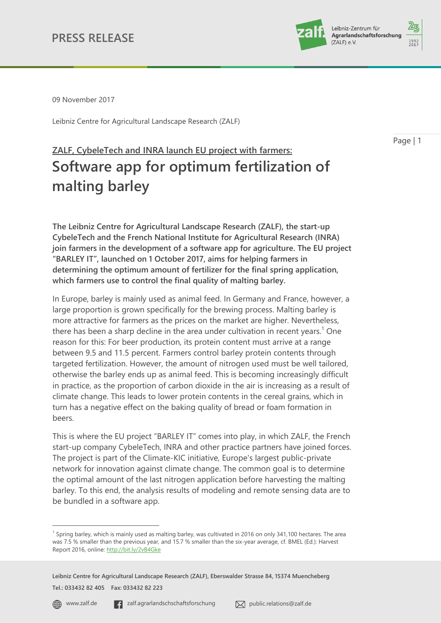

09 November 2017

Leibniz Centre for Agricultural Landscape Research (ZALF)

Page | 1

# **ZALF, CybeleTech and INRA launch EU project with farmers: Software app for optimum fertilization of malting barley**

**The Leibniz Centre for Agricultural Landscape Research (ZALF), the start-up CybeleTech and the French National Institute for Agricultural Research (INRA) join farmers in the development of a software app for agriculture. The EU project "BARLEY IT", launched on 1 October 2017, aims for helping farmers in determining the optimum amount of fertilizer for the final spring application, which farmers use to control the final quality of malting barley.**

In Europe, barley is mainly used as animal feed. In Germany and France, however, a large proportion is grown specifically for the brewing process. Malting barley is more attractive for farmers as the prices on the market are higher. Nevertheless, there has been a sharp decline in the area under cultivation in recent years.<sup>1</sup> One reason for this: For beer production, its protein content must arrive at a range between 9.5 and 11.5 percent. Farmers control barley protein contents through targeted fertilization. However, the amount of nitrogen used must be well tailored, otherwise the barley ends up as animal feed. This is becoming increasingly difficult in practice, as the proportion of carbon dioxide in the air is increasing as a result of climate change. This leads to lower protein contents in the cereal grains, which in turn has a negative effect on the baking quality of bread or foam formation in beers.

This is where the EU project "BARLEY IT" comes into play, in which ZALF, the French start-up company CybeleTech, INRA and other practice partners have joined forces. The project is part of the Climate-KIC initiative, Europe's largest public-private network for innovation against climate change. The common goal is to determine the optimal amount of the last nitrogen application before harvesting the malting barley. To this end, the analysis results of modeling and remote sensing data are to be bundled in a software app.

 $\overline{a}$ 

<sup>&</sup>lt;sup>1</sup> Spring barley, which is mainly used as malting barley, was cultivated in 2016 on only 341,100 hectares. The area was 7.5 % smaller than the previous year, and 15.7 % smaller than the six-year average, cf. BMEL (Ed.): Harvest Report 2016, online:<http://bit.ly/2vB4Gke>

**Leibniz Centre for Agricultural Landscape Research (ZALF), Eberswalder Strasse 84, 15374 Muencheberg Tel.: 033432 82 405 Fax: 033432 82 223**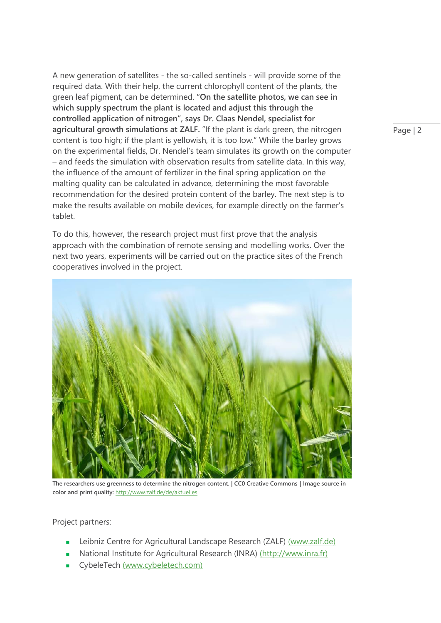A new generation of satellites - the so-called sentinels - will provide some of the required data. With their help, the current chlorophyll content of the plants, the green leaf pigment, can be determined. **"On the satellite photos, we can see in which supply spectrum the plant is located and adjust this through the controlled application of nitrogen", says Dr. Claas Nendel, specialist for agricultural growth simulations at ZALF.** "If the plant is dark green, the nitrogen content is too high; if the plant is yellowish, it is too low." While the barley grows on the experimental fields, Dr. Nendel's team simulates its growth on the computer – and feeds the simulation with observation results from satellite data. In this way, the influence of the amount of fertilizer in the final spring application on the malting quality can be calculated in advance, determining the most favorable recommendation for the desired protein content of the barley. The next step is to make the results available on mobile devices, for example directly on the farmer's tablet.

To do this, however, the research project must first prove that the analysis approach with the combination of remote sensing and modelling works. Over the next two years, experiments will be carried out on the practice sites of the French cooperatives involved in the project.



**The researchers use greenness to determine the nitrogen content. | CC0 Creative Commons | Image source in color and print quality:** [http://www.zalf.de/de/aktuelles](http://www.zalf.de/de/aktuelles/meldungen_alle)

Project partners:

- **EXECTEDFEE CENTEDFEE CONTERNATION** Landscape Research (ZALF) [\(www.zalf.de\)](http://www.zalf.de/)
- National Institute for Agricultural Research (INRA) [\(http://www.inra.fr\)](http://www.inra.fr/)
- CybeleTech [\(www.cybeletech.com\)](http://www.cybeletech.com/)

Page | 2